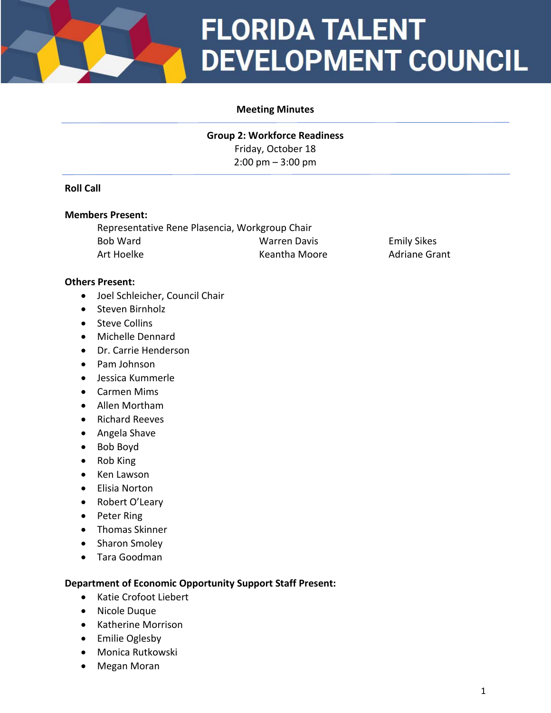

# **FLORIDA TALENT DEVELOPMENT COUNCIL**

### **Meeting Minutes**

**Group 2: Workforce Readiness** Friday, October 18 2:00 pm – 3:00 pm

### **Roll Call**

#### **Members Present:**

Representative Rene Plasencia, Workgroup Chair Bob Ward Warren Davis Emily Sikes Art Hoelke **Keantha Moore** Adriane Grant

### **Others Present:**

- Joel Schleicher, Council Chair
- Steven Birnholz
- Steve Collins
- Michelle Dennard
- Dr. Carrie Henderson
- Pam Johnson
- Jessica Kummerle
- Carmen Mims
- Allen Mortham
- Richard Reeves
- Angela Shave
- Bob Boyd
- Rob King
- Ken Lawson
- Elisia Norton
- Robert O'Leary
- Peter Ring
- Thomas Skinner
- Sharon Smoley
- Tara Goodman

#### **Department of Economic Opportunity Support Staff Present:**

- Katie Crofoot Liebert
- Nicole Duque
- Katherine Morrison
- Emilie Oglesby
- Monica Rutkowski
- Megan Moran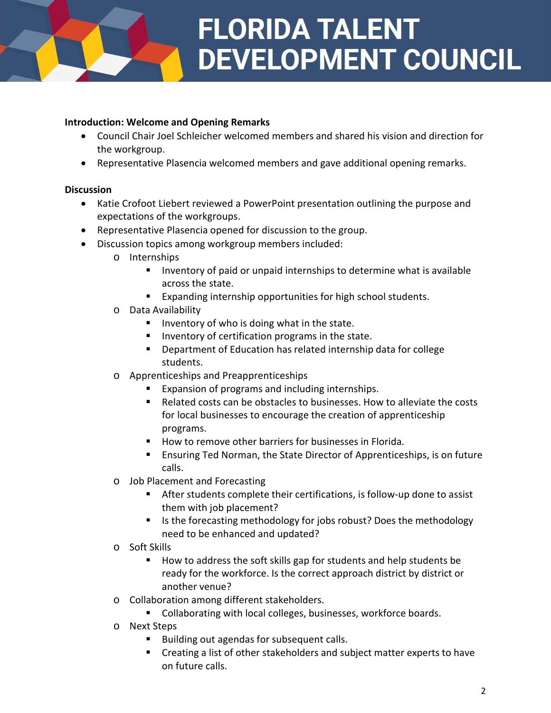# **FLORIDA TALENT DEVELOPMENT COUNCIL**

# **Introduction: Welcome and Opening Remarks**

- Council Chair Joel Schleicher welcomed members and shared his vision and direction for the workgroup.
- Representative Plasencia welcomed members and gave additional opening remarks.

### **Discussion**

- Katie Crofoot Liebert reviewed a PowerPoint presentation outlining the purpose and expectations of the workgroups.
- Representative Plasencia opened for discussion to the group.
- Discussion topics among workgroup members included:
	- o Internships
		- Inventory of paid or unpaid internships to determine what is available across the state.
		- Expanding internship opportunities for high school students.
	- o Data Availability
		- Inventory of who is doing what in the state.
		- Inventory of certification programs in the state.
		- Department of Education has related internship data for college students.
	- o Apprenticeships and Preapprenticeships
		- Expansion of programs and including internships.
		- Related costs can be obstacles to businesses. How to alleviate the costs for local businesses to encourage the creation of apprenticeship programs.
		- How to remove other barriers for businesses in Florida.
		- **Ensuring Ted Norman, the State Director of Apprenticeships, is on future** calls.
	- o Job Placement and Forecasting
		- After students complete their certifications, is follow-up done to assist them with job placement?
		- Is the forecasting methodology for jobs robust? Does the methodology need to be enhanced and updated?
	- o Soft Skills
		- How to address the soft skills gap for students and help students be ready for the workforce. Is the correct approach district by district or another venue?
	- o Collaboration among different stakeholders.
		- **Collaborating with local colleges, businesses, workforce boards.**
	- o Next Steps
		- Building out agendas for subsequent calls.
		- **EXP** Creating a list of other stakeholders and subject matter experts to have on future calls.